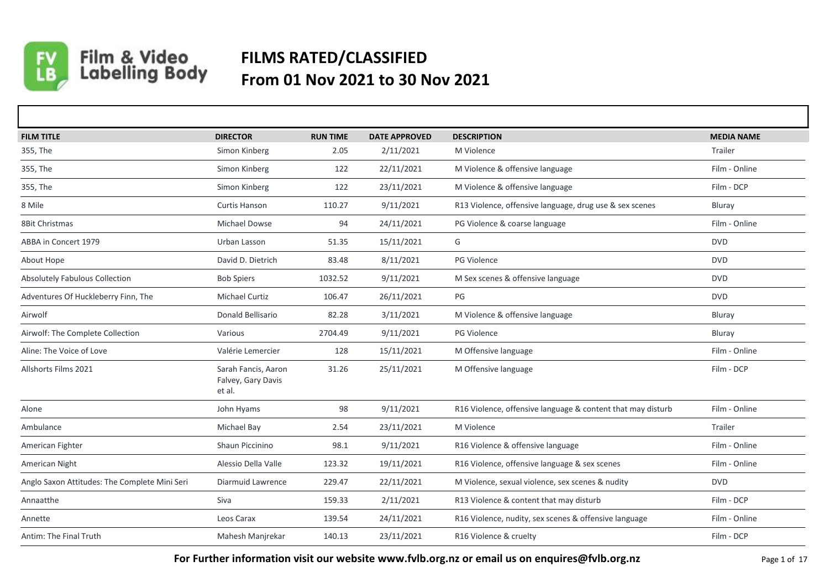

## Film & Video<br>Labelling Body **FILMS RATED/CLASSIFIED From 01 Nov 2021 to 30 Nov 2021**

| <b>FILM TITLE</b>                             | <b>DIRECTOR</b>                                     | <b>RUN TIME</b> | <b>DATE APPROVED</b> | <b>DESCRIPTION</b>                                          | <b>MEDIA NAME</b> |
|-----------------------------------------------|-----------------------------------------------------|-----------------|----------------------|-------------------------------------------------------------|-------------------|
| 355, The                                      | Simon Kinberg                                       | 2.05            | 2/11/2021            | M Violence                                                  | Trailer           |
| 355, The                                      | Simon Kinberg                                       | 122             | 22/11/2021           | M Violence & offensive language                             | Film - Online     |
| 355, The                                      | Simon Kinberg                                       | 122             | 23/11/2021           | M Violence & offensive language                             | Film - DCP        |
| 8 Mile                                        | Curtis Hanson                                       | 110.27          | 9/11/2021            | R13 Violence, offensive language, drug use & sex scenes     | Bluray            |
| 8Bit Christmas                                | Michael Dowse                                       | 94              | 24/11/2021           | PG Violence & coarse language                               | Film - Online     |
| ABBA in Concert 1979                          | Urban Lasson                                        | 51.35           | 15/11/2021           | G                                                           | <b>DVD</b>        |
| About Hope                                    | David D. Dietrich                                   | 83.48           | 8/11/2021            | PG Violence                                                 | <b>DVD</b>        |
| Absolutely Fabulous Collection                | <b>Bob Spiers</b>                                   | 1032.52         | 9/11/2021            | M Sex scenes & offensive language                           | <b>DVD</b>        |
| Adventures Of Huckleberry Finn, The           | <b>Michael Curtiz</b>                               | 106.47          | 26/11/2021           | PG                                                          | <b>DVD</b>        |
| Airwolf                                       | Donald Bellisario                                   | 82.28           | 3/11/2021            | M Violence & offensive language                             | Bluray            |
| Airwolf: The Complete Collection              | Various                                             | 2704.49         | 9/11/2021            | PG Violence                                                 | Bluray            |
| Aline: The Voice of Love                      | Valérie Lemercier                                   | 128             | 15/11/2021           | M Offensive language                                        | Film - Online     |
| Allshorts Films 2021                          | Sarah Fancis, Aaron<br>Falvey, Gary Davis<br>et al. | 31.26           | 25/11/2021           | M Offensive language                                        | Film - DCP        |
| Alone                                         | John Hyams                                          | 98              | 9/11/2021            | R16 Violence, offensive language & content that may disturb | Film - Online     |
| Ambulance                                     | Michael Bay                                         | 2.54            | 23/11/2021           | M Violence                                                  | Trailer           |
| American Fighter                              | Shaun Piccinino                                     | 98.1            | 9/11/2021            | R16 Violence & offensive language                           | Film - Online     |
| American Night                                | Alessio Della Valle                                 | 123.32          | 19/11/2021           | R16 Violence, offensive language & sex scenes               | Film - Online     |
| Anglo Saxon Attitudes: The Complete Mini Seri | Diarmuid Lawrence                                   | 229.47          | 22/11/2021           | M Violence, sexual violence, sex scenes & nudity            | <b>DVD</b>        |
| Annaatthe                                     | Siva                                                | 159.33          | 2/11/2021            | R13 Violence & content that may disturb                     | Film - DCP        |
| Annette                                       | Leos Carax                                          | 139.54          | 24/11/2021           | R16 Violence, nudity, sex scenes & offensive language       | Film - Online     |
| Antim: The Final Truth                        | Mahesh Manjrekar                                    | 140.13          | 23/11/2021           | R16 Violence & cruelty                                      | Film - DCP        |

**For Further information visit our website www.fvlb.org.nz or email us on enquires@fvlb.org.nz** Page 1 of 17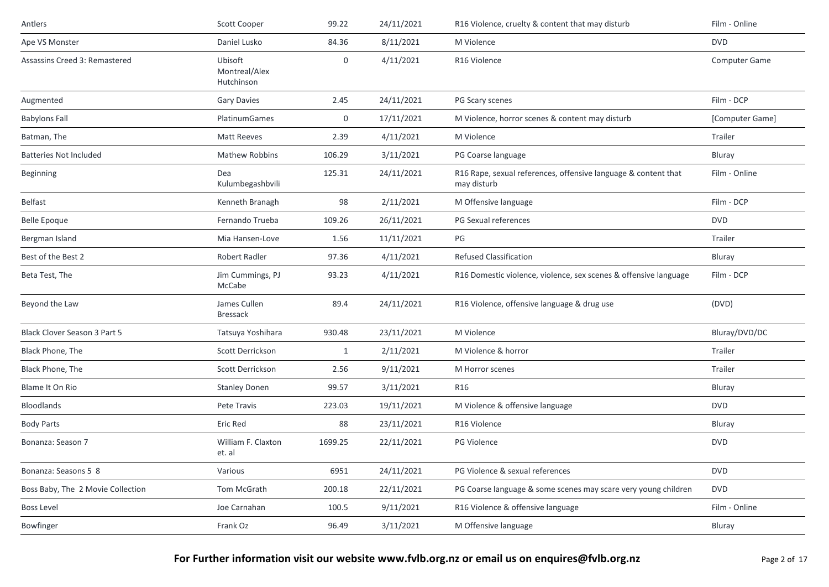| Antlers                           | Scott Cooper                           | 99.22        | 24/11/2021 | R16 Violence, cruelty & content that may disturb                              | Film - Online   |
|-----------------------------------|----------------------------------------|--------------|------------|-------------------------------------------------------------------------------|-----------------|
| Ape VS Monster                    | Daniel Lusko                           | 84.36        | 8/11/2021  | M Violence                                                                    | <b>DVD</b>      |
| Assassins Creed 3: Remastered     | Ubisoft<br>Montreal/Alex<br>Hutchinson | 0            | 4/11/2021  | R16 Violence                                                                  | Computer Game   |
| Augmented                         | <b>Gary Davies</b>                     | 2.45         | 24/11/2021 | PG Scary scenes                                                               | Film - DCP      |
| <b>Babylons Fall</b>              | <b>PlatinumGames</b>                   | 0            | 17/11/2021 | M Violence, horror scenes & content may disturb                               | [Computer Game] |
| Batman, The                       | <b>Matt Reeves</b>                     | 2.39         | 4/11/2021  | M Violence                                                                    | Trailer         |
| <b>Batteries Not Included</b>     | <b>Mathew Robbins</b>                  | 106.29       | 3/11/2021  | PG Coarse language                                                            | Bluray          |
| Beginning                         | Dea<br>Kulumbegashbvili                | 125.31       | 24/11/2021 | R16 Rape, sexual references, offensive language & content that<br>may disturb | Film - Online   |
| Belfast                           | Kenneth Branagh                        | 98           | 2/11/2021  | M Offensive language                                                          | Film - DCP      |
| <b>Belle Epoque</b>               | Fernando Trueba                        | 109.26       | 26/11/2021 | PG Sexual references                                                          | <b>DVD</b>      |
| Bergman Island                    | Mia Hansen-Love                        | 1.56         | 11/11/2021 | PG                                                                            | Trailer         |
| Best of the Best 2                | Robert Radler                          | 97.36        | 4/11/2021  | <b>Refused Classification</b>                                                 | Bluray          |
| Beta Test, The                    | Jim Cummings, PJ<br>McCabe             | 93.23        | 4/11/2021  | R16 Domestic violence, violence, sex scenes & offensive language              | Film - DCP      |
| Beyond the Law                    | James Cullen<br><b>Bressack</b>        | 89.4         | 24/11/2021 | R16 Violence, offensive language & drug use                                   | (DVD)           |
| Black Clover Season 3 Part 5      | Tatsuya Yoshihara                      | 930.48       | 23/11/2021 | M Violence                                                                    | Bluray/DVD/DC   |
| Black Phone, The                  | Scott Derrickson                       | $\mathbf{1}$ | 2/11/2021  | M Violence & horror                                                           | Trailer         |
| Black Phone, The                  | Scott Derrickson                       | 2.56         | 9/11/2021  | M Horror scenes                                                               | Trailer         |
| Blame It On Rio                   | <b>Stanley Donen</b>                   | 99.57        | 3/11/2021  | R16                                                                           | Bluray          |
| Bloodlands                        | Pete Travis                            | 223.03       | 19/11/2021 | M Violence & offensive language                                               | <b>DVD</b>      |
| <b>Body Parts</b>                 | Eric Red                               | 88           | 23/11/2021 | R16 Violence                                                                  | Bluray          |
| Bonanza: Season 7                 | William F. Claxton<br>et. al           | 1699.25      | 22/11/2021 | PG Violence                                                                   | <b>DVD</b>      |
| Bonanza: Seasons 5 8              | Various                                | 6951         | 24/11/2021 | PG Violence & sexual references                                               | <b>DVD</b>      |
| Boss Baby, The 2 Movie Collection | Tom McGrath                            | 200.18       | 22/11/2021 | PG Coarse language & some scenes may scare very young children                | <b>DVD</b>      |
| <b>Boss Level</b>                 | Joe Carnahan                           | 100.5        | 9/11/2021  | R16 Violence & offensive language                                             | Film - Online   |
| Bowfinger                         | Frank Oz                               | 96.49        | 3/11/2021  | M Offensive language                                                          | Bluray          |
|                                   |                                        |              |            |                                                                               |                 |

For Further information visit our website www.fvlb.org.nz or email us on enquires@fvlb.org.nz<br>Page 2 of 17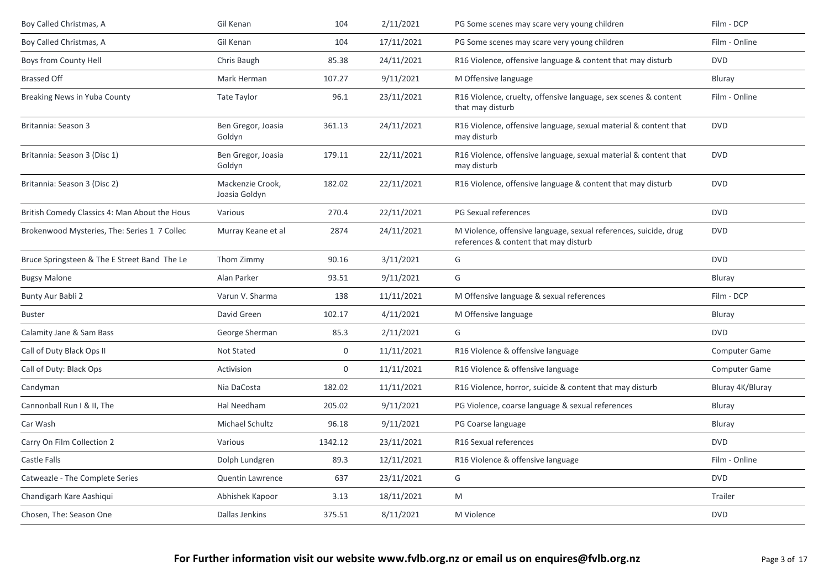| Boy Called Christmas, A                       | Gil Kenan                         | 104         | 2/11/2021  | PG Some scenes may scare very young children                                                              | Film - DCP           |
|-----------------------------------------------|-----------------------------------|-------------|------------|-----------------------------------------------------------------------------------------------------------|----------------------|
| Boy Called Christmas, A                       | Gil Kenan                         | 104         | 17/11/2021 | PG Some scenes may scare very young children                                                              | Film - Online        |
| Boys from County Hell                         | Chris Baugh                       | 85.38       | 24/11/2021 | R16 Violence, offensive language & content that may disturb                                               | <b>DVD</b>           |
| <b>Brassed Off</b>                            | Mark Herman                       | 107.27      | 9/11/2021  | M Offensive language                                                                                      | Bluray               |
| <b>Breaking News in Yuba County</b>           | Tate Taylor                       | 96.1        | 23/11/2021 | R16 Violence, cruelty, offensive language, sex scenes & content<br>that may disturb                       | Film - Online        |
| Britannia: Season 3                           | Ben Gregor, Joasia<br>Goldyn      | 361.13      | 24/11/2021 | R16 Violence, offensive language, sexual material & content that<br>may disturb                           | <b>DVD</b>           |
| Britannia: Season 3 (Disc 1)                  | Ben Gregor, Joasia<br>Goldyn      | 179.11      | 22/11/2021 | R16 Violence, offensive language, sexual material & content that<br>may disturb                           | <b>DVD</b>           |
| Britannia: Season 3 (Disc 2)                  | Mackenzie Crook,<br>Joasia Goldyn | 182.02      | 22/11/2021 | R16 Violence, offensive language & content that may disturb                                               | <b>DVD</b>           |
| British Comedy Classics 4: Man About the Hous | Various                           | 270.4       | 22/11/2021 | PG Sexual references                                                                                      | <b>DVD</b>           |
| Brokenwood Mysteries, The: Series 1 7 Collec  | Murray Keane et al                | 2874        | 24/11/2021 | M Violence, offensive language, sexual references, suicide, drug<br>references & content that may disturb | <b>DVD</b>           |
| Bruce Springsteen & The E Street Band The Le  | Thom Zimmy                        | 90.16       | 3/11/2021  | G                                                                                                         | <b>DVD</b>           |
| <b>Bugsy Malone</b>                           | Alan Parker                       | 93.51       | 9/11/2021  | G                                                                                                         | Bluray               |
| Bunty Aur Babli 2                             | Varun V. Sharma                   | 138         | 11/11/2021 | M Offensive language & sexual references                                                                  | Film - DCP           |
| <b>Buster</b>                                 | David Green                       | 102.17      | 4/11/2021  | M Offensive language                                                                                      | Bluray               |
| Calamity Jane & Sam Bass                      | George Sherman                    | 85.3        | 2/11/2021  | G                                                                                                         | <b>DVD</b>           |
| Call of Duty Black Ops II                     | Not Stated                        | $\mathbf 0$ | 11/11/2021 | R16 Violence & offensive language                                                                         | <b>Computer Game</b> |
| Call of Duty: Black Ops                       | Activision                        | $\mathbf 0$ | 11/11/2021 | R16 Violence & offensive language                                                                         | Computer Game        |
| Candyman                                      | Nia DaCosta                       | 182.02      | 11/11/2021 | R16 Violence, horror, suicide & content that may disturb                                                  | Bluray 4K/Bluray     |
| Cannonball Run I & II, The                    | Hal Needham                       | 205.02      | 9/11/2021  | PG Violence, coarse language & sexual references                                                          | Bluray               |
| Car Wash                                      | Michael Schultz                   | 96.18       | 9/11/2021  | PG Coarse language                                                                                        | Bluray               |
| Carry On Film Collection 2                    | Various                           | 1342.12     | 23/11/2021 | R16 Sexual references                                                                                     | <b>DVD</b>           |
| Castle Falls                                  | Dolph Lundgren                    | 89.3        | 12/11/2021 | R16 Violence & offensive language                                                                         | Film - Online        |
| Catweazle - The Complete Series               | <b>Quentin Lawrence</b>           | 637         | 23/11/2021 | G                                                                                                         | <b>DVD</b>           |
| Chandigarh Kare Aashiqui                      | Abhishek Kapoor                   | 3.13        | 18/11/2021 | M                                                                                                         | Trailer              |
| Chosen, The: Season One                       | Dallas Jenkins                    | 375.51      | 8/11/2021  | M Violence                                                                                                | <b>DVD</b>           |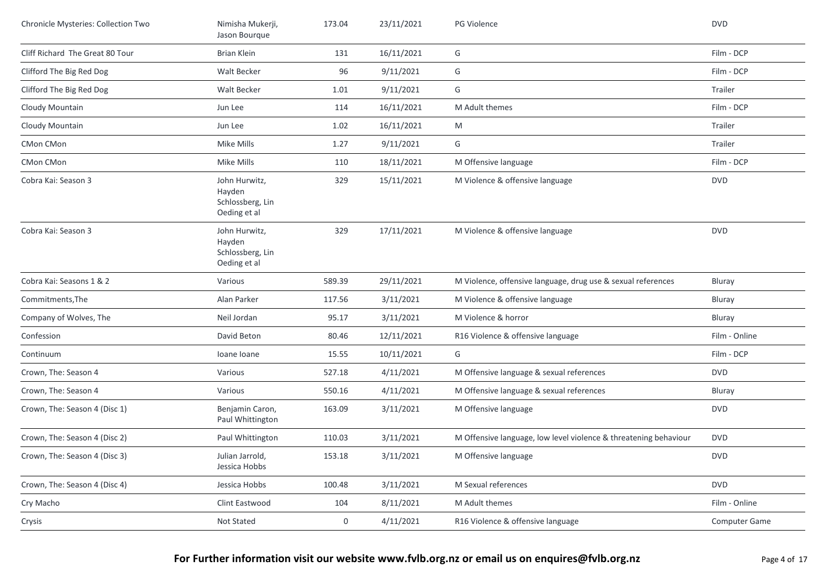| Chronicle Mysteries: Collection Two | Nimisha Mukerji,<br>Jason Bourque                           | 173.04      | 23/11/2021 | <b>PG Violence</b>                                               | <b>DVD</b>           |
|-------------------------------------|-------------------------------------------------------------|-------------|------------|------------------------------------------------------------------|----------------------|
| Cliff Richard The Great 80 Tour     | <b>Brian Klein</b>                                          | 131         | 16/11/2021 | G                                                                | Film - DCP           |
| Clifford The Big Red Dog            | <b>Walt Becker</b>                                          | 96          | 9/11/2021  | G                                                                | Film - DCP           |
| Clifford The Big Red Dog            | Walt Becker                                                 | 1.01        | 9/11/2021  | G                                                                | Trailer              |
| Cloudy Mountain                     | Jun Lee                                                     | 114         | 16/11/2021 | M Adult themes                                                   | Film - DCP           |
| Cloudy Mountain                     | Jun Lee                                                     | 1.02        | 16/11/2021 | M                                                                | Trailer              |
| CMon CMon                           | Mike Mills                                                  | 1.27        | 9/11/2021  | G                                                                | Trailer              |
| CMon CMon                           | Mike Mills                                                  | 110         | 18/11/2021 | M Offensive language                                             | Film - DCP           |
| Cobra Kai: Season 3                 | John Hurwitz,<br>Hayden<br>Schlossberg, Lin<br>Oeding et al | 329         | 15/11/2021 | M Violence & offensive language                                  | <b>DVD</b>           |
| Cobra Kai: Season 3                 | John Hurwitz,<br>Hayden<br>Schlossberg, Lin<br>Oeding et al | 329         | 17/11/2021 | M Violence & offensive language                                  | <b>DVD</b>           |
| Cobra Kai: Seasons 1 & 2            | Various                                                     | 589.39      | 29/11/2021 | M Violence, offensive language, drug use & sexual references     | Bluray               |
| Commitments, The                    | Alan Parker                                                 | 117.56      | 3/11/2021  | M Violence & offensive language                                  | Bluray               |
| Company of Wolves, The              | Neil Jordan                                                 | 95.17       | 3/11/2021  | M Violence & horror                                              | Bluray               |
| Confession                          | David Beton                                                 | 80.46       | 12/11/2021 | R16 Violence & offensive language                                | Film - Online        |
| Continuum                           | Ioane Ioane                                                 | 15.55       | 10/11/2021 | G                                                                | Film - DCP           |
| Crown, The: Season 4                | Various                                                     | 527.18      | 4/11/2021  | M Offensive language & sexual references                         | <b>DVD</b>           |
| Crown, The: Season 4                | Various                                                     | 550.16      | 4/11/2021  | M Offensive language & sexual references                         | Bluray               |
| Crown, The: Season 4 (Disc 1)       | Benjamin Caron,<br>Paul Whittington                         | 163.09      | 3/11/2021  | M Offensive language                                             | <b>DVD</b>           |
| Crown, The: Season 4 (Disc 2)       | Paul Whittington                                            | 110.03      | 3/11/2021  | M Offensive language, low level violence & threatening behaviour | <b>DVD</b>           |
| Crown, The: Season 4 (Disc 3)       | Julian Jarrold,<br>Jessica Hobbs                            | 153.18      | 3/11/2021  | M Offensive language                                             | <b>DVD</b>           |
| Crown, The: Season 4 (Disc 4)       | Jessica Hobbs                                               | 100.48      | 3/11/2021  | M Sexual references                                              | <b>DVD</b>           |
| Cry Macho                           | Clint Eastwood                                              | 104         | 8/11/2021  | M Adult themes                                                   | Film - Online        |
| Crysis                              | Not Stated                                                  | $\mathbf 0$ | 4/11/2021  | R16 Violence & offensive language                                | <b>Computer Game</b> |
|                                     |                                                             |             |            |                                                                  |                      |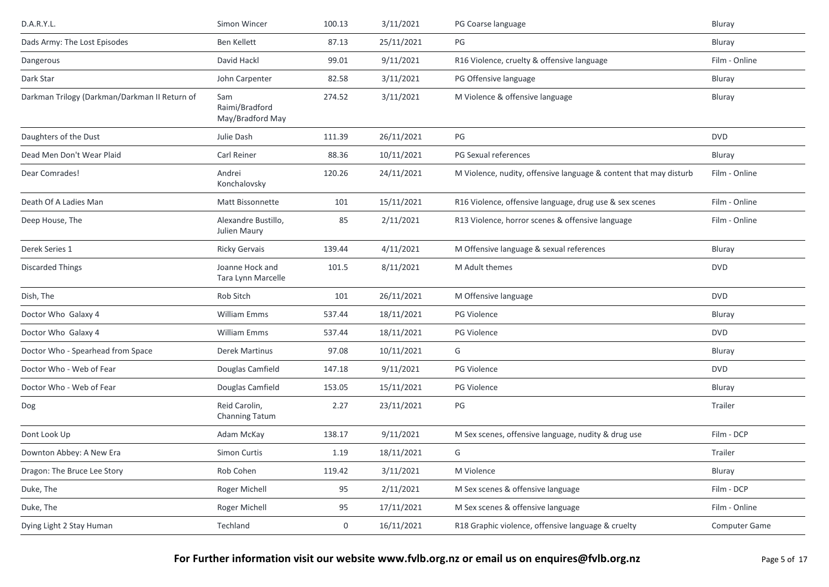| D.A.R.Y.L.                                    | Simon Wincer                              | 100.13      | 3/11/2021  | PG Coarse language                                                | Bluray        |
|-----------------------------------------------|-------------------------------------------|-------------|------------|-------------------------------------------------------------------|---------------|
| Dads Army: The Lost Episodes                  | <b>Ben Kellett</b>                        | 87.13       | 25/11/2021 | PG                                                                | Bluray        |
| Dangerous                                     | David Hackl                               | 99.01       | 9/11/2021  | R16 Violence, cruelty & offensive language                        | Film - Online |
| Dark Star                                     | John Carpenter                            | 82.58       | 3/11/2021  | PG Offensive language                                             | Bluray        |
| Darkman Trilogy (Darkman/Darkman II Return of | Sam<br>Raimi/Bradford<br>May/Bradford May | 274.52      | 3/11/2021  | M Violence & offensive language                                   | Bluray        |
| Daughters of the Dust                         | Julie Dash                                | 111.39      | 26/11/2021 | PG                                                                | <b>DVD</b>    |
| Dead Men Don't Wear Plaid                     | Carl Reiner                               | 88.36       | 10/11/2021 | PG Sexual references                                              | Bluray        |
| Dear Comrades!                                | Andrei<br>Konchalovsky                    | 120.26      | 24/11/2021 | M Violence, nudity, offensive language & content that may disturb | Film - Online |
| Death Of A Ladies Man                         | Matt Bissonnette                          | 101         | 15/11/2021 | R16 Violence, offensive language, drug use & sex scenes           | Film - Online |
| Deep House, The                               | Alexandre Bustillo,<br>Julien Maury       | 85          | 2/11/2021  | R13 Violence, horror scenes & offensive language                  | Film - Online |
| Derek Series 1                                | <b>Ricky Gervais</b>                      | 139.44      | 4/11/2021  | M Offensive language & sexual references                          | Bluray        |
| <b>Discarded Things</b>                       | Joanne Hock and<br>Tara Lynn Marcelle     | 101.5       | 8/11/2021  | M Adult themes                                                    | <b>DVD</b>    |
| Dish, The                                     | Rob Sitch                                 | 101         | 26/11/2021 | M Offensive language                                              | <b>DVD</b>    |
| Doctor Who Galaxy 4                           | <b>William Emms</b>                       | 537.44      | 18/11/2021 | <b>PG Violence</b>                                                | Bluray        |
| Doctor Who Galaxy 4                           | William Emms                              | 537.44      | 18/11/2021 | PG Violence                                                       | <b>DVD</b>    |
| Doctor Who - Spearhead from Space             | Derek Martinus                            | 97.08       | 10/11/2021 | G                                                                 | Bluray        |
| Doctor Who - Web of Fear                      | Douglas Camfield                          | 147.18      | 9/11/2021  | <b>PG Violence</b>                                                | <b>DVD</b>    |
| Doctor Who - Web of Fear                      | Douglas Camfield                          | 153.05      | 15/11/2021 | PG Violence                                                       | Bluray        |
| Dog                                           | Reid Carolin,<br>Channing Tatum           | 2.27        | 23/11/2021 | PG                                                                | Trailer       |
| Dont Look Up                                  | Adam McKay                                | 138.17      | 9/11/2021  | M Sex scenes, offensive language, nudity & drug use               | Film - DCP    |
| Downton Abbey: A New Era                      | Simon Curtis                              | 1.19        | 18/11/2021 | G                                                                 | Trailer       |
| Dragon: The Bruce Lee Story                   | Rob Cohen                                 | 119.42      | 3/11/2021  | M Violence                                                        | Bluray        |
| Duke, The                                     | Roger Michell                             | 95          | 2/11/2021  | M Sex scenes & offensive language                                 | Film - DCP    |
| Duke, The                                     | Roger Michell                             | 95          | 17/11/2021 | M Sex scenes & offensive language                                 | Film - Online |
| Dying Light 2 Stay Human                      | Techland                                  | $\mathbf 0$ | 16/11/2021 | R18 Graphic violence, offensive language & cruelty                | Computer Game |
|                                               |                                           |             |            |                                                                   |               |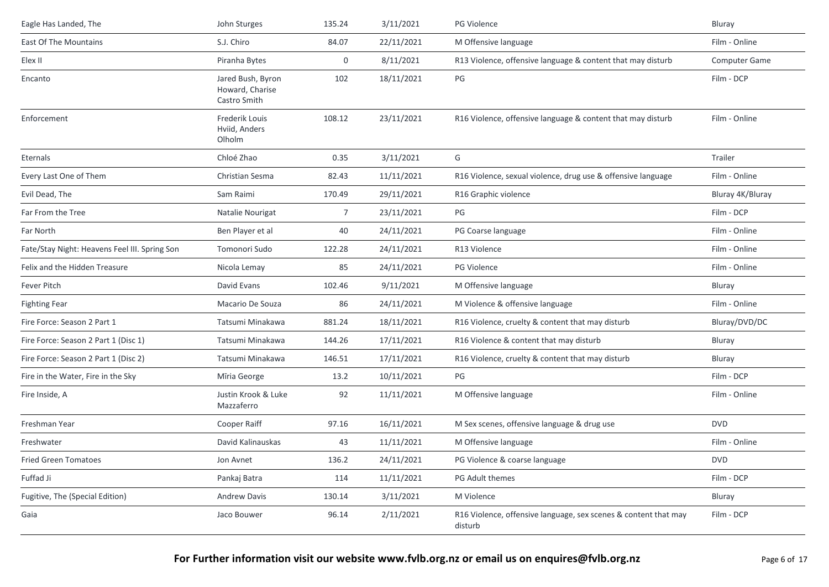| Eagle Has Landed, The                         | John Sturges                                         | 135.24 | 3/11/2021  | PG Violence                                                                | Bluray               |
|-----------------------------------------------|------------------------------------------------------|--------|------------|----------------------------------------------------------------------------|----------------------|
| East Of The Mountains                         | S.J. Chiro                                           | 84.07  | 22/11/2021 | M Offensive language                                                       | Film - Online        |
| Elex II                                       | Piranha Bytes                                        | 0      | 8/11/2021  | R13 Violence, offensive language & content that may disturb                | <b>Computer Game</b> |
| Encanto                                       | Jared Bush, Byron<br>Howard, Charise<br>Castro Smith | 102    | 18/11/2021 | PG                                                                         | Film - DCP           |
| Enforcement                                   | Frederik Louis<br>Hviid, Anders<br>Olholm            | 108.12 | 23/11/2021 | R16 Violence, offensive language & content that may disturb                | Film - Online        |
| Eternals                                      | Chloé Zhao                                           | 0.35   | 3/11/2021  | G                                                                          | Trailer              |
| Every Last One of Them                        | Christian Sesma                                      | 82.43  | 11/11/2021 | R16 Violence, sexual violence, drug use & offensive language               | Film - Online        |
| Evil Dead, The                                | Sam Raimi                                            | 170.49 | 29/11/2021 | R16 Graphic violence                                                       | Bluray 4K/Bluray     |
| Far From the Tree                             | Natalie Nourigat                                     | 7      | 23/11/2021 | PG                                                                         | Film - DCP           |
| Far North                                     | Ben Player et al                                     | 40     | 24/11/2021 | PG Coarse language                                                         | Film - Online        |
| Fate/Stay Night: Heavens Feel III. Spring Son | Tomonori Sudo                                        | 122.28 | 24/11/2021 | R13 Violence                                                               | Film - Online        |
| Felix and the Hidden Treasure                 | Nicola Lemay                                         | 85     | 24/11/2021 | <b>PG Violence</b>                                                         | Film - Online        |
| Fever Pitch                                   | David Evans                                          | 102.46 | 9/11/2021  | M Offensive language                                                       | Bluray               |
| <b>Fighting Fear</b>                          | Macario De Souza                                     | 86     | 24/11/2021 | M Violence & offensive language                                            | Film - Online        |
| Fire Force: Season 2 Part 1                   | Tatsumi Minakawa                                     | 881.24 | 18/11/2021 | R16 Violence, cruelty & content that may disturb                           | Bluray/DVD/DC        |
| Fire Force: Season 2 Part 1 (Disc 1)          | Tatsumi Minakawa                                     | 144.26 | 17/11/2021 | R16 Violence & content that may disturb                                    | Bluray               |
| Fire Force: Season 2 Part 1 (Disc 2)          | Tatsumi Minakawa                                     | 146.51 | 17/11/2021 | R16 Violence, cruelty & content that may disturb                           | Bluray               |
| Fire in the Water, Fire in the Sky            | Mīria George                                         | 13.2   | 10/11/2021 | PG                                                                         | Film - DCP           |
| Fire Inside, A                                | Justin Krook & Luke<br>Mazzaferro                    | 92     | 11/11/2021 | M Offensive language                                                       | Film - Online        |
| Freshman Year                                 | Cooper Raiff                                         | 97.16  | 16/11/2021 | M Sex scenes, offensive language & drug use                                | <b>DVD</b>           |
| Freshwater                                    | David Kalinauskas                                    | 43     | 11/11/2021 | M Offensive language                                                       | Film - Online        |
| <b>Fried Green Tomatoes</b>                   | Jon Avnet                                            | 136.2  | 24/11/2021 | PG Violence & coarse language                                              | <b>DVD</b>           |
| Fuffad Ji                                     | Pankaj Batra                                         | 114    | 11/11/2021 | PG Adult themes                                                            | Film - DCP           |
| Fugitive, The (Special Edition)               | <b>Andrew Davis</b>                                  | 130.14 | 3/11/2021  | M Violence                                                                 | Bluray               |
| Gaia                                          | Jaco Bouwer                                          | 96.14  | 2/11/2021  | R16 Violence, offensive language, sex scenes & content that may<br>disturb | Film - DCP           |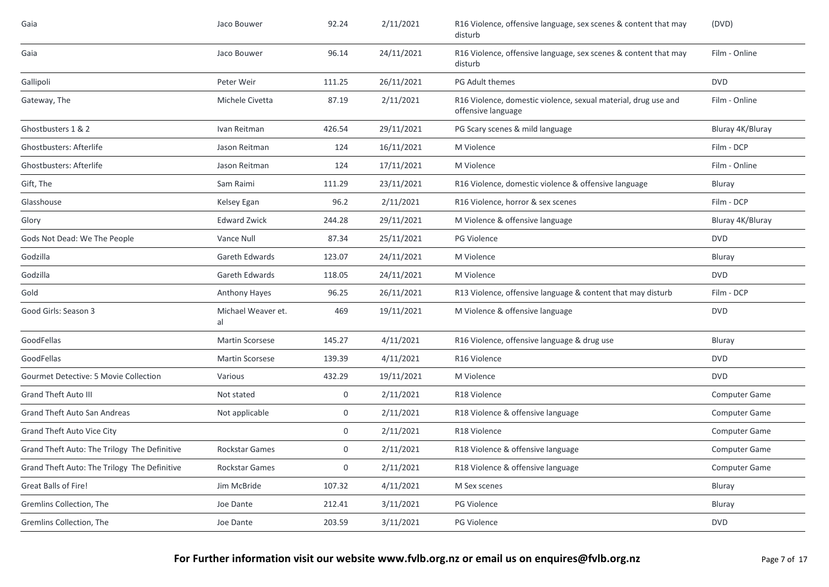| Gaia                                         | Jaco Bouwer              | 92.24       | 2/11/2021  | R16 Violence, offensive language, sex scenes & content that may<br>disturb           | (DVD)                |
|----------------------------------------------|--------------------------|-------------|------------|--------------------------------------------------------------------------------------|----------------------|
| Gaia                                         | Jaco Bouwer              | 96.14       | 24/11/2021 | R16 Violence, offensive language, sex scenes & content that may<br>disturb           | Film - Online        |
| Gallipoli                                    | Peter Weir               | 111.25      | 26/11/2021 | PG Adult themes                                                                      | <b>DVD</b>           |
| Gateway, The                                 | Michele Civetta          | 87.19       | 2/11/2021  | R16 Violence, domestic violence, sexual material, drug use and<br>offensive language | Film - Online        |
| Ghostbusters 1 & 2                           | Ivan Reitman             | 426.54      | 29/11/2021 | PG Scary scenes & mild language                                                      | Bluray 4K/Bluray     |
| <b>Ghostbusters: Afterlife</b>               | Jason Reitman            | 124         | 16/11/2021 | M Violence                                                                           | Film - DCP           |
| <b>Ghostbusters: Afterlife</b>               | Jason Reitman            | 124         | 17/11/2021 | M Violence                                                                           | Film - Online        |
| Gift, The                                    | Sam Raimi                | 111.29      | 23/11/2021 | R16 Violence, domestic violence & offensive language                                 | Bluray               |
| Glasshouse                                   | Kelsey Egan              | 96.2        | 2/11/2021  | R16 Violence, horror & sex scenes                                                    | Film - DCP           |
| Glory                                        | <b>Edward Zwick</b>      | 244.28      | 29/11/2021 | M Violence & offensive language                                                      | Bluray 4K/Bluray     |
| Gods Not Dead: We The People                 | Vance Null               | 87.34       | 25/11/2021 | PG Violence                                                                          | <b>DVD</b>           |
| Godzilla                                     | <b>Gareth Edwards</b>    | 123.07      | 24/11/2021 | M Violence                                                                           | Bluray               |
| Godzilla                                     | <b>Gareth Edwards</b>    | 118.05      | 24/11/2021 | M Violence                                                                           | <b>DVD</b>           |
| Gold                                         | <b>Anthony Hayes</b>     | 96.25       | 26/11/2021 | R13 Violence, offensive language & content that may disturb                          | Film - DCP           |
| Good Girls: Season 3                         | Michael Weaver et.<br>al | 469         | 19/11/2021 | M Violence & offensive language                                                      | <b>DVD</b>           |
| GoodFellas                                   | <b>Martin Scorsese</b>   | 145.27      | 4/11/2021  | R16 Violence, offensive language & drug use                                          | Bluray               |
| GoodFellas                                   | <b>Martin Scorsese</b>   | 139.39      | 4/11/2021  | R16 Violence                                                                         | <b>DVD</b>           |
| Gourmet Detective: 5 Movie Collection        | Various                  | 432.29      | 19/11/2021 | M Violence                                                                           | <b>DVD</b>           |
| <b>Grand Theft Auto III</b>                  | Not stated               | $\mathbf 0$ | 2/11/2021  | R18 Violence                                                                         | <b>Computer Game</b> |
| <b>Grand Theft Auto San Andreas</b>          | Not applicable           | $\mathbf 0$ | 2/11/2021  | R18 Violence & offensive language                                                    | Computer Game        |
| Grand Theft Auto Vice City                   |                          | 0           | 2/11/2021  | R18 Violence                                                                         | <b>Computer Game</b> |
| Grand Theft Auto: The Trilogy The Definitive | <b>Rockstar Games</b>    | $\mathbf 0$ | 2/11/2021  | R18 Violence & offensive language                                                    | <b>Computer Game</b> |
| Grand Theft Auto: The Trilogy The Definitive | <b>Rockstar Games</b>    | $\mathbf 0$ | 2/11/2021  | R18 Violence & offensive language                                                    | Computer Game        |
| Great Balls of Fire!                         | Jim McBride              | 107.32      | 4/11/2021  | M Sex scenes                                                                         | Bluray               |
| Gremlins Collection, The                     | Joe Dante                | 212.41      | 3/11/2021  | PG Violence                                                                          | Bluray               |
| Gremlins Collection, The                     | Joe Dante                | 203.59      | 3/11/2021  | <b>PG Violence</b>                                                                   | <b>DVD</b>           |
|                                              |                          |             |            |                                                                                      |                      |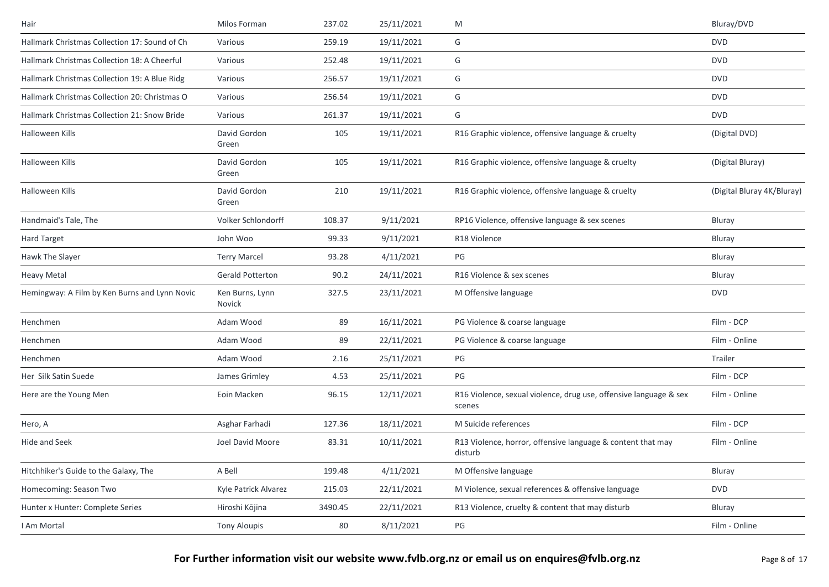| Hair                                          | Milos Forman              | 237.02  | 25/11/2021 | M                                                                           | Bluray/DVD                 |
|-----------------------------------------------|---------------------------|---------|------------|-----------------------------------------------------------------------------|----------------------------|
| Hallmark Christmas Collection 17: Sound of Ch | Various                   | 259.19  | 19/11/2021 | G                                                                           | <b>DVD</b>                 |
| Hallmark Christmas Collection 18: A Cheerful  | Various                   | 252.48  | 19/11/2021 | G                                                                           | <b>DVD</b>                 |
| Hallmark Christmas Collection 19: A Blue Ridg | Various                   | 256.57  | 19/11/2021 | G                                                                           | <b>DVD</b>                 |
| Hallmark Christmas Collection 20: Christmas O | Various                   | 256.54  | 19/11/2021 | G                                                                           | <b>DVD</b>                 |
| Hallmark Christmas Collection 21: Snow Bride  | Various                   | 261.37  | 19/11/2021 | G                                                                           | <b>DVD</b>                 |
| Halloween Kills                               | David Gordon<br>Green     | 105     | 19/11/2021 | R16 Graphic violence, offensive language & cruelty                          | (Digital DVD)              |
| Halloween Kills                               | David Gordon<br>Green     | 105     | 19/11/2021 | R16 Graphic violence, offensive language & cruelty                          | (Digital Bluray)           |
| Halloween Kills                               | David Gordon<br>Green     | 210     | 19/11/2021 | R16 Graphic violence, offensive language & cruelty                          | (Digital Bluray 4K/Bluray) |
| Handmaid's Tale, The                          | Volker Schlondorff        | 108.37  | 9/11/2021  | RP16 Violence, offensive language & sex scenes                              | Bluray                     |
| Hard Target                                   | John Woo                  | 99.33   | 9/11/2021  | R18 Violence                                                                | Bluray                     |
| Hawk The Slaver                               | <b>Terry Marcel</b>       | 93.28   | 4/11/2021  | PG                                                                          | Bluray                     |
| <b>Heavy Metal</b>                            | <b>Gerald Potterton</b>   | 90.2    | 24/11/2021 | R16 Violence & sex scenes                                                   | Bluray                     |
| Hemingway: A Film by Ken Burns and Lynn Novic | Ken Burns, Lynn<br>Novick | 327.5   | 23/11/2021 | M Offensive language                                                        | <b>DVD</b>                 |
| Henchmen                                      | Adam Wood                 | 89      | 16/11/2021 | PG Violence & coarse language                                               | Film - DCP                 |
| Henchmen                                      | Adam Wood                 | 89      | 22/11/2021 | PG Violence & coarse language                                               | Film - Online              |
| Henchmen                                      | Adam Wood                 | 2.16    | 25/11/2021 | PG                                                                          | Trailer                    |
| Her Silk Satin Suede                          | James Grimley             | 4.53    | 25/11/2021 | PG                                                                          | Film - DCP                 |
| Here are the Young Men                        | Eoin Macken               | 96.15   | 12/11/2021 | R16 Violence, sexual violence, drug use, offensive language & sex<br>scenes | Film - Online              |
| Hero, A                                       | Asghar Farhadi            | 127.36  | 18/11/2021 | M Suicide references                                                        | Film - DCP                 |
| Hide and Seek                                 | Joel David Moore          | 83.31   | 10/11/2021 | R13 Violence, horror, offensive language & content that may<br>disturb      | Film - Online              |
| Hitchhiker's Guide to the Galaxy, The         | A Bell                    | 199.48  | 4/11/2021  | M Offensive language                                                        | Bluray                     |
| Homecoming: Season Two                        | Kyle Patrick Alvarez      | 215.03  | 22/11/2021 | M Violence, sexual references & offensive language                          | <b>DVD</b>                 |
| Hunter x Hunter: Complete Series              | Hiroshi Kōjina            | 3490.45 | 22/11/2021 | R13 Violence, cruelty & content that may disturb                            | Bluray                     |
| I Am Mortal                                   | <b>Tony Aloupis</b>       | 80      | 8/11/2021  | PG                                                                          | Film - Online              |
|                                               |                           |         |            |                                                                             |                            |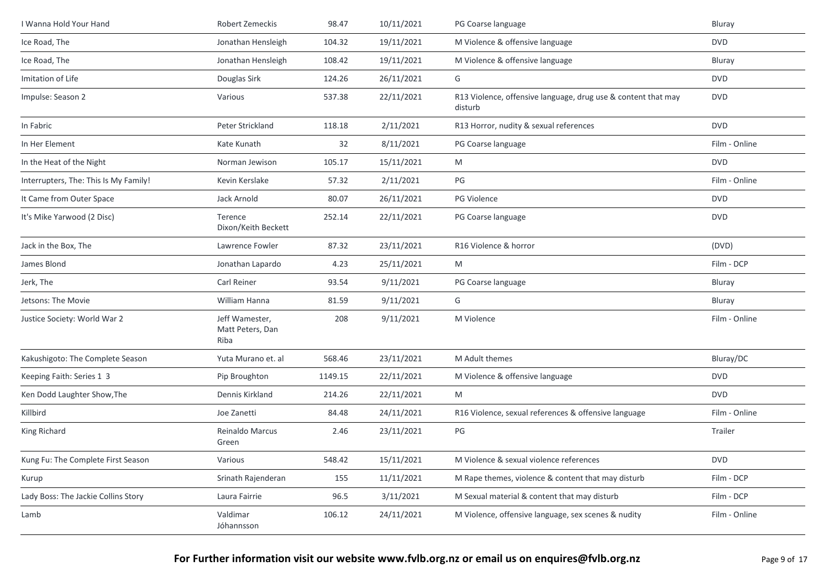| I Wanna Hold Your Hand                | Robert Zemeckis                            | 98.47   | 10/11/2021 | PG Coarse language                                                       | Bluray        |
|---------------------------------------|--------------------------------------------|---------|------------|--------------------------------------------------------------------------|---------------|
| Ice Road, The                         | Jonathan Hensleigh                         | 104.32  | 19/11/2021 | M Violence & offensive language                                          | <b>DVD</b>    |
| Ice Road, The                         | Jonathan Hensleigh                         | 108.42  | 19/11/2021 | M Violence & offensive language                                          | Bluray        |
| Imitation of Life                     | Douglas Sirk                               | 124.26  | 26/11/2021 | G                                                                        | <b>DVD</b>    |
| Impulse: Season 2                     | Various                                    | 537.38  | 22/11/2021 | R13 Violence, offensive language, drug use & content that may<br>disturb | <b>DVD</b>    |
| In Fabric                             | Peter Strickland                           | 118.18  | 2/11/2021  | R13 Horror, nudity & sexual references                                   | <b>DVD</b>    |
| In Her Element                        | Kate Kunath                                | 32      | 8/11/2021  | PG Coarse language                                                       | Film - Online |
| In the Heat of the Night              | Norman Jewison                             | 105.17  | 15/11/2021 | M                                                                        | <b>DVD</b>    |
| Interrupters, The: This Is My Family! | Kevin Kerslake                             | 57.32   | 2/11/2021  | PG                                                                       | Film - Online |
| It Came from Outer Space              | Jack Arnold                                | 80.07   | 26/11/2021 | PG Violence                                                              | <b>DVD</b>    |
| It's Mike Yarwood (2 Disc)            | Terence<br>Dixon/Keith Beckett             | 252.14  | 22/11/2021 | PG Coarse language                                                       | <b>DVD</b>    |
| Jack in the Box, The                  | Lawrence Fowler                            | 87.32   | 23/11/2021 | R16 Violence & horror                                                    | (DVD)         |
| James Blond                           | Jonathan Lapardo                           | 4.23    | 25/11/2021 | M                                                                        | Film - DCP    |
| Jerk, The                             | Carl Reiner                                | 93.54   | 9/11/2021  | PG Coarse language                                                       | Bluray        |
| Jetsons: The Movie                    | William Hanna                              | 81.59   | 9/11/2021  | G                                                                        | Bluray        |
| Justice Society: World War 2          | Jeff Wamester,<br>Matt Peters, Dan<br>Riba | 208     | 9/11/2021  | M Violence                                                               | Film - Online |
| Kakushigoto: The Complete Season      | Yuta Murano et. al                         | 568.46  | 23/11/2021 | M Adult themes                                                           | Bluray/DC     |
| Keeping Faith: Series 1 3             | Pip Broughton                              | 1149.15 | 22/11/2021 | M Violence & offensive language                                          | <b>DVD</b>    |
| Ken Dodd Laughter Show, The           | Dennis Kirkland                            | 214.26  | 22/11/2021 | M                                                                        | <b>DVD</b>    |
| Killbird                              | Joe Zanetti                                | 84.48   | 24/11/2021 | R16 Violence, sexual references & offensive language                     | Film - Online |
| King Richard                          | Reinaldo Marcus<br>Green                   | 2.46    | 23/11/2021 | PG                                                                       | Trailer       |
| Kung Fu: The Complete First Season    | Various                                    | 548.42  | 15/11/2021 | M Violence & sexual violence references                                  | <b>DVD</b>    |
| Kurup                                 | Srinath Rajenderan                         | 155     | 11/11/2021 | M Rape themes, violence & content that may disturb                       | Film - DCP    |
| Lady Boss: The Jackie Collins Story   | Laura Fairrie                              | 96.5    | 3/11/2021  | M Sexual material & content that may disturb                             | Film - DCP    |
| Lamb                                  | Valdimar<br>Jóhannsson                     | 106.12  | 24/11/2021 | M Violence, offensive language, sex scenes & nudity                      | Film - Online |
|                                       |                                            |         |            |                                                                          |               |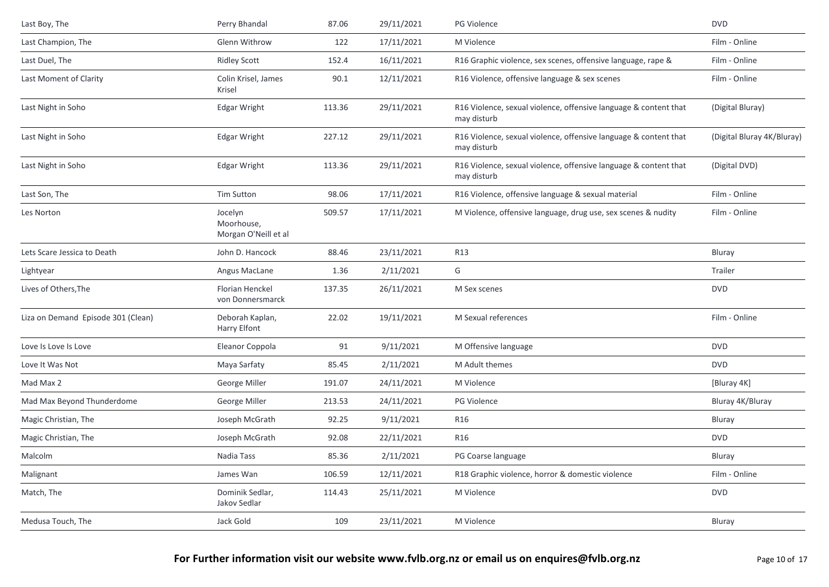| Last Boy, The                      | Perry Bhandal                                 | 87.06  | 29/11/2021 | PG Violence                                                                     | <b>DVD</b>                 |
|------------------------------------|-----------------------------------------------|--------|------------|---------------------------------------------------------------------------------|----------------------------|
| Last Champion, The                 | Glenn Withrow                                 | 122    | 17/11/2021 | M Violence                                                                      | Film - Online              |
| Last Duel, The                     | <b>Ridley Scott</b>                           | 152.4  | 16/11/2021 | R16 Graphic violence, sex scenes, offensive language, rape &                    | Film - Online              |
| Last Moment of Clarity             | Colin Krisel, James<br>Krisel                 | 90.1   | 12/11/2021 | R16 Violence, offensive language & sex scenes                                   | Film - Online              |
| Last Night in Soho                 | <b>Edgar Wright</b>                           | 113.36 | 29/11/2021 | R16 Violence, sexual violence, offensive language & content that<br>may disturb | (Digital Bluray)           |
| Last Night in Soho                 | <b>Edgar Wright</b>                           | 227.12 | 29/11/2021 | R16 Violence, sexual violence, offensive language & content that<br>may disturb | (Digital Bluray 4K/Bluray) |
| Last Night in Soho                 | <b>Edgar Wright</b>                           | 113.36 | 29/11/2021 | R16 Violence, sexual violence, offensive language & content that<br>may disturb | (Digital DVD)              |
| Last Son, The                      | <b>Tim Sutton</b>                             | 98.06  | 17/11/2021 | R16 Violence, offensive language & sexual material                              | Film - Online              |
| Les Norton                         | Jocelyn<br>Moorhouse,<br>Morgan O'Neill et al | 509.57 | 17/11/2021 | M Violence, offensive language, drug use, sex scenes & nudity                   | Film - Online              |
| Lets Scare Jessica to Death        | John D. Hancock                               | 88.46  | 23/11/2021 | R13                                                                             | Bluray                     |
| Lightyear                          | Angus MacLane                                 | 1.36   | 2/11/2021  | G                                                                               | Trailer                    |
| Lives of Others, The               | Florian Henckel<br>von Donnersmarck           | 137.35 | 26/11/2021 | M Sex scenes                                                                    | <b>DVD</b>                 |
| Liza on Demand Episode 301 (Clean) | Deborah Kaplan,<br>Harry Elfont               | 22.02  | 19/11/2021 | M Sexual references                                                             | Film - Online              |
| Love Is Love Is Love               | Eleanor Coppola                               | 91     | 9/11/2021  | M Offensive language                                                            | <b>DVD</b>                 |
| Love It Was Not                    | Maya Sarfaty                                  | 85.45  | 2/11/2021  | M Adult themes                                                                  | <b>DVD</b>                 |
| Mad Max 2                          | George Miller                                 | 191.07 | 24/11/2021 | M Violence                                                                      | [Bluray 4K]                |
| Mad Max Beyond Thunderdome         | George Miller                                 | 213.53 | 24/11/2021 | PG Violence                                                                     | Bluray 4K/Bluray           |
| Magic Christian, The               | Joseph McGrath                                | 92.25  | 9/11/2021  | R <sub>16</sub>                                                                 | Bluray                     |
| Magic Christian, The               | Joseph McGrath                                | 92.08  | 22/11/2021 | R <sub>16</sub>                                                                 | <b>DVD</b>                 |
| Malcolm                            | Nadia Tass                                    | 85.36  | 2/11/2021  | PG Coarse language                                                              | Bluray                     |
| Malignant                          | James Wan                                     | 106.59 | 12/11/2021 | R18 Graphic violence, horror & domestic violence                                | Film - Online              |
| Match, The                         | Dominik Sedlar,<br>Jakov Sedlar               | 114.43 | 25/11/2021 | M Violence                                                                      | <b>DVD</b>                 |
| Medusa Touch, The                  | Jack Gold                                     | 109    | 23/11/2021 | M Violence                                                                      | Bluray                     |
|                                    |                                               |        |            |                                                                                 |                            |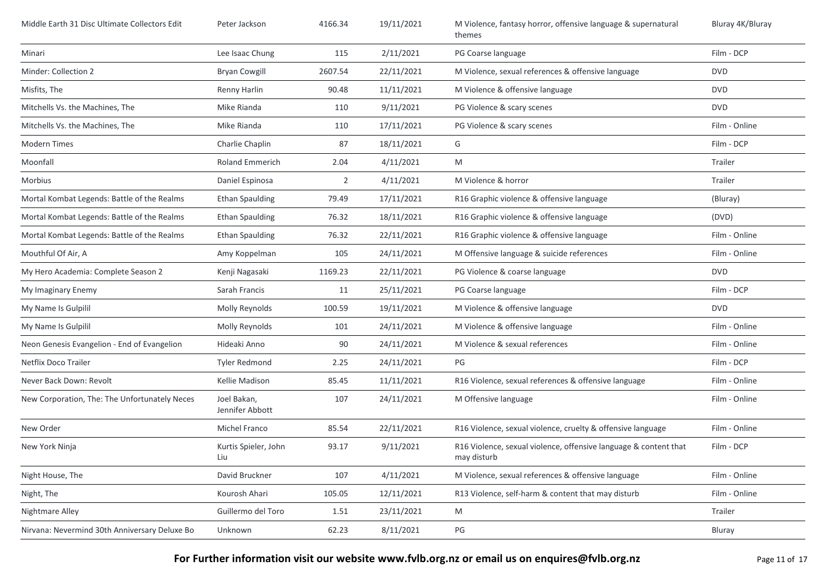| Middle Earth 31 Disc Ultimate Collectors Edit | Peter Jackson                  | 4166.34        | 19/11/2021 | M Violence, fantasy horror, offensive language & supernatural<br>themes         | Bluray 4K/Bluray |
|-----------------------------------------------|--------------------------------|----------------|------------|---------------------------------------------------------------------------------|------------------|
| Minari                                        | Lee Isaac Chung                | 115            | 2/11/2021  | PG Coarse language                                                              | Film - DCP       |
| Minder: Collection 2                          | <b>Bryan Cowgill</b>           | 2607.54        | 22/11/2021 | M Violence, sexual references & offensive language                              | <b>DVD</b>       |
| Misfits, The                                  | Renny Harlin                   | 90.48          | 11/11/2021 | M Violence & offensive language                                                 | <b>DVD</b>       |
| Mitchells Vs. the Machines, The               | Mike Rianda                    | 110            | 9/11/2021  | PG Violence & scary scenes                                                      | <b>DVD</b>       |
| Mitchells Vs. the Machines, The               | Mike Rianda                    | 110            | 17/11/2021 | PG Violence & scary scenes                                                      | Film - Online    |
| <b>Modern Times</b>                           | Charlie Chaplin                | 87             | 18/11/2021 | G                                                                               | Film - DCP       |
| Moonfall                                      | <b>Roland Emmerich</b>         | 2.04           | 4/11/2021  | M                                                                               | Trailer          |
| Morbius                                       | Daniel Espinosa                | $\overline{2}$ | 4/11/2021  | M Violence & horror                                                             | Trailer          |
| Mortal Kombat Legends: Battle of the Realms   | <b>Ethan Spaulding</b>         | 79.49          | 17/11/2021 | R16 Graphic violence & offensive language                                       | (Bluray)         |
| Mortal Kombat Legends: Battle of the Realms   | <b>Ethan Spaulding</b>         | 76.32          | 18/11/2021 | R16 Graphic violence & offensive language                                       | (DVD)            |
| Mortal Kombat Legends: Battle of the Realms   | <b>Ethan Spaulding</b>         | 76.32          | 22/11/2021 | R16 Graphic violence & offensive language                                       | Film - Online    |
| Mouthful Of Air, A                            | Amy Koppelman                  | 105            | 24/11/2021 | M Offensive language & suicide references                                       | Film - Online    |
| My Hero Academia: Complete Season 2           | Kenji Nagasaki                 | 1169.23        | 22/11/2021 | PG Violence & coarse language                                                   | <b>DVD</b>       |
| My Imaginary Enemy                            | Sarah Francis                  | 11             | 25/11/2021 | PG Coarse language                                                              | Film - DCP       |
| My Name Is Gulpilil                           | Molly Reynolds                 | 100.59         | 19/11/2021 | M Violence & offensive language                                                 | <b>DVD</b>       |
| My Name Is Gulpilil                           | Molly Reynolds                 | 101            | 24/11/2021 | M Violence & offensive language                                                 | Film - Online    |
| Neon Genesis Evangelion - End of Evangelion   | Hideaki Anno                   | 90             | 24/11/2021 | M Violence & sexual references                                                  | Film - Online    |
| Netflix Doco Trailer                          | <b>Tyler Redmond</b>           | 2.25           | 24/11/2021 | PG                                                                              | Film - DCP       |
| Never Back Down: Revolt                       | Kellie Madison                 | 85.45          | 11/11/2021 | R16 Violence, sexual references & offensive language                            | Film - Online    |
| New Corporation, The: The Unfortunately Neces | Joel Bakan,<br>Jennifer Abbott | 107            | 24/11/2021 | M Offensive language                                                            | Film - Online    |
| New Order                                     | Michel Franco                  | 85.54          | 22/11/2021 | R16 Violence, sexual violence, cruelty & offensive language                     | Film - Online    |
| New York Ninja                                | Kurtis Spieler, John<br>Liu    | 93.17          | 9/11/2021  | R16 Violence, sexual violence, offensive language & content that<br>may disturb | Film - DCP       |
| Night House, The                              | David Bruckner                 | 107            | 4/11/2021  | M Violence, sexual references & offensive language                              | Film - Online    |
| Night, The                                    | Kourosh Ahari                  | 105.05         | 12/11/2021 | R13 Violence, self-harm & content that may disturb                              | Film - Online    |
| Nightmare Alley                               | Guillermo del Toro             | 1.51           | 23/11/2021 | M                                                                               | Trailer          |
| Nirvana: Nevermind 30th Anniversary Deluxe Bo | Unknown                        | 62.23          | 8/11/2021  | PG                                                                              | Bluray           |

**For Further information visit our website www.fvlb.org.nz or email us on enquires@fvlb.org.nz** Page 11 of 17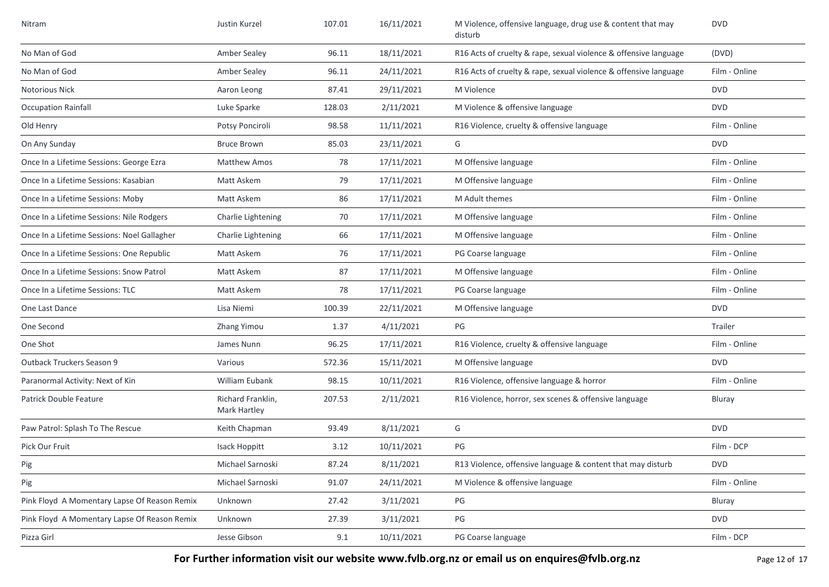| Nitram                                       | Justin Kurzel                     | 107.01 | 16/11/2021 | M Violence, offensive language, drug use & content that may<br>disturb | <b>DVD</b>    |
|----------------------------------------------|-----------------------------------|--------|------------|------------------------------------------------------------------------|---------------|
| No Man of God                                | <b>Amber Sealey</b>               | 96.11  | 18/11/2021 | R16 Acts of cruelty & rape, sexual violence & offensive language       | (DVD)         |
| No Man of God                                | <b>Amber Sealey</b>               | 96.11  | 24/11/2021 | R16 Acts of cruelty & rape, sexual violence & offensive language       | Film - Online |
| Notorious Nick                               | Aaron Leong                       | 87.41  | 29/11/2021 | M Violence                                                             | <b>DVD</b>    |
| <b>Occupation Rainfall</b>                   | Luke Sparke                       | 128.03 | 2/11/2021  | M Violence & offensive language                                        | <b>DVD</b>    |
| Old Henry                                    | Potsy Ponciroli                   | 98.58  | 11/11/2021 | R16 Violence, cruelty & offensive language                             | Film - Online |
| On Any Sunday                                | <b>Bruce Brown</b>                | 85.03  | 23/11/2021 | G                                                                      | <b>DVD</b>    |
| Once In a Lifetime Sessions: George Ezra     | <b>Matthew Amos</b>               | 78     | 17/11/2021 | M Offensive language                                                   | Film - Online |
| Once In a Lifetime Sessions: Kasabian        | Matt Askem                        | 79     | 17/11/2021 | M Offensive language                                                   | Film - Online |
| Once In a Lifetime Sessions: Moby            | Matt Askem                        | 86     | 17/11/2021 | M Adult themes                                                         | Film - Online |
| Once In a Lifetime Sessions: Nile Rodgers    | Charlie Lightening                | 70     | 17/11/2021 | M Offensive language                                                   | Film - Online |
| Once In a Lifetime Sessions: Noel Gallagher  | Charlie Lightening                | 66     | 17/11/2021 | M Offensive language                                                   | Film - Online |
| Once In a Lifetime Sessions: One Republic    | Matt Askem                        | 76     | 17/11/2021 | PG Coarse language                                                     | Film - Online |
| Once In a Lifetime Sessions: Snow Patrol     | Matt Askem                        | 87     | 17/11/2021 | M Offensive language                                                   | Film - Online |
| Once In a Lifetime Sessions: TLC             | Matt Askem                        | 78     | 17/11/2021 | PG Coarse language                                                     | Film - Online |
| One Last Dance                               | Lisa Niemi                        | 100.39 | 22/11/2021 | M Offensive language                                                   | <b>DVD</b>    |
| One Second                                   | Zhang Yimou                       | 1.37   | 4/11/2021  | PG                                                                     | Trailer       |
| One Shot                                     | James Nunn                        | 96.25  | 17/11/2021 | R16 Violence, cruelty & offensive language                             | Film - Online |
| Outback Truckers Season 9                    | Various                           | 572.36 | 15/11/2021 | M Offensive language                                                   | <b>DVD</b>    |
| Paranormal Activity: Next of Kin             | William Eubank                    | 98.15  | 10/11/2021 | R16 Violence, offensive language & horror                              | Film - Online |
| Patrick Double Feature                       | Richard Franklin,<br>Mark Hartley | 207.53 | 2/11/2021  | R16 Violence, horror, sex scenes & offensive language                  | Bluray        |
| Paw Patrol: Splash To The Rescue             | Keith Chapman                     | 93.49  | 8/11/2021  | G                                                                      | <b>DVD</b>    |
| Pick Our Fruit                               | Isack Hoppitt                     | 3.12   | 10/11/2021 | PG                                                                     | Film - DCP    |
| Pig                                          | Michael Sarnoski                  | 87.24  | 8/11/2021  | R13 Violence, offensive language & content that may disturb            | <b>DVD</b>    |
| Pig                                          | Michael Sarnoski                  | 91.07  | 24/11/2021 | M Violence & offensive language                                        | Film - Online |
| Pink Floyd A Momentary Lapse Of Reason Remix | Unknown                           | 27.42  | 3/11/2021  | PG                                                                     | Bluray        |
| Pink Floyd A Momentary Lapse Of Reason Remix | Unknown                           | 27.39  | 3/11/2021  | PG                                                                     | <b>DVD</b>    |
| Pizza Girl                                   | Jesse Gibson                      | 9.1    | 10/11/2021 | PG Coarse language                                                     | Film - DCP    |

**For Further information visit our website www.fvlb.org.nz or email us on enquires@fvlb.org.nz** Page 12 of 17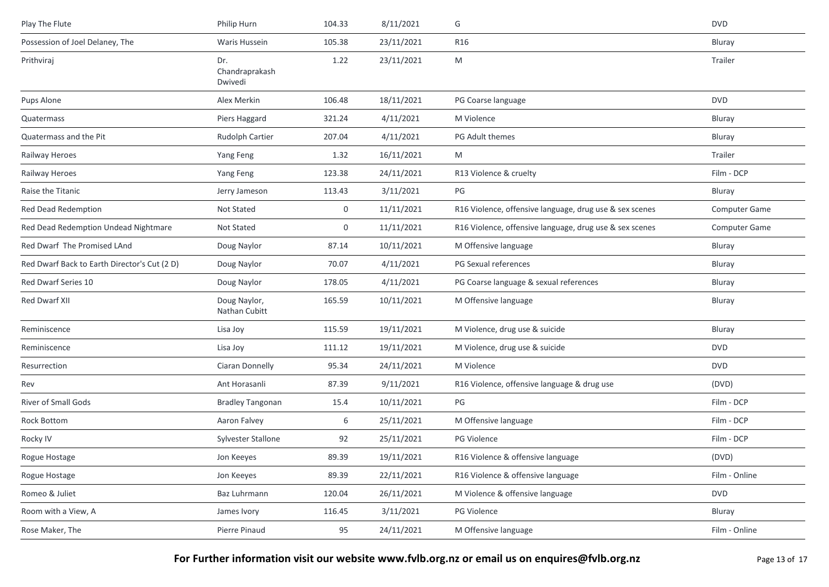| Philip Hurn                      | 104.33 | 8/11/2021  | G                                                       | <b>DVD</b>    |
|----------------------------------|--------|------------|---------------------------------------------------------|---------------|
| Waris Hussein                    | 105.38 | 23/11/2021 | <b>R16</b>                                              | Bluray        |
| Dr.<br>Chandraprakash<br>Dwivedi | 1.22   | 23/11/2021 | M                                                       | Trailer       |
| Alex Merkin                      | 106.48 | 18/11/2021 | PG Coarse language                                      | <b>DVD</b>    |
| Piers Haggard                    | 321.24 | 4/11/2021  | M Violence                                              | Bluray        |
| Rudolph Cartier                  | 207.04 | 4/11/2021  | PG Adult themes                                         | Bluray        |
| Yang Feng                        | 1.32   | 16/11/2021 | M                                                       | Trailer       |
| Yang Feng                        | 123.38 | 24/11/2021 | R13 Violence & cruelty                                  | Film - DCP    |
| Jerry Jameson                    | 113.43 | 3/11/2021  | PG                                                      | Bluray        |
| Not Stated                       | 0      | 11/11/2021 | R16 Violence, offensive language, drug use & sex scenes | Computer Game |
| Not Stated                       | 0      | 11/11/2021 | R16 Violence, offensive language, drug use & sex scenes | Computer Game |
| Doug Naylor                      | 87.14  | 10/11/2021 | M Offensive language                                    | Bluray        |
| Doug Naylor                      | 70.07  | 4/11/2021  | PG Sexual references                                    | Bluray        |
| Doug Naylor                      | 178.05 | 4/11/2021  | PG Coarse language & sexual references                  | Bluray        |
| Doug Naylor,<br>Nathan Cubitt    | 165.59 | 10/11/2021 | M Offensive language                                    | Bluray        |
| Lisa Joy                         | 115.59 | 19/11/2021 | M Violence, drug use & suicide                          | Bluray        |
| Lisa Joy                         | 111.12 | 19/11/2021 | M Violence, drug use & suicide                          | <b>DVD</b>    |
| Ciaran Donnelly                  | 95.34  | 24/11/2021 | M Violence                                              | <b>DVD</b>    |
| Ant Horasanli                    | 87.39  | 9/11/2021  | R16 Violence, offensive language & drug use             | (DVD)         |
| <b>Bradley Tangonan</b>          | 15.4   | 10/11/2021 | PG                                                      | Film - DCP    |
| Aaron Falvey                     | 6      | 25/11/2021 | M Offensive language                                    | Film - DCP    |
| Sylvester Stallone               | 92     | 25/11/2021 | <b>PG Violence</b>                                      | Film - DCP    |
| Jon Keeyes                       | 89.39  | 19/11/2021 | R16 Violence & offensive language                       | (DVD)         |
| Jon Keeyes                       | 89.39  | 22/11/2021 | R16 Violence & offensive language                       | Film - Online |
| Baz Luhrmann                     | 120.04 | 26/11/2021 | M Violence & offensive language                         | <b>DVD</b>    |
| James Ivory                      | 116.45 | 3/11/2021  | PG Violence                                             | Bluray        |
| Pierre Pinaud                    | 95     | 24/11/2021 | M Offensive language                                    | Film - Online |
|                                  |        |            |                                                         |               |

For Further information visit our website www.fvlb.org.nz or email us on enquires@fvlb.org.nz<br>Page 13 of 17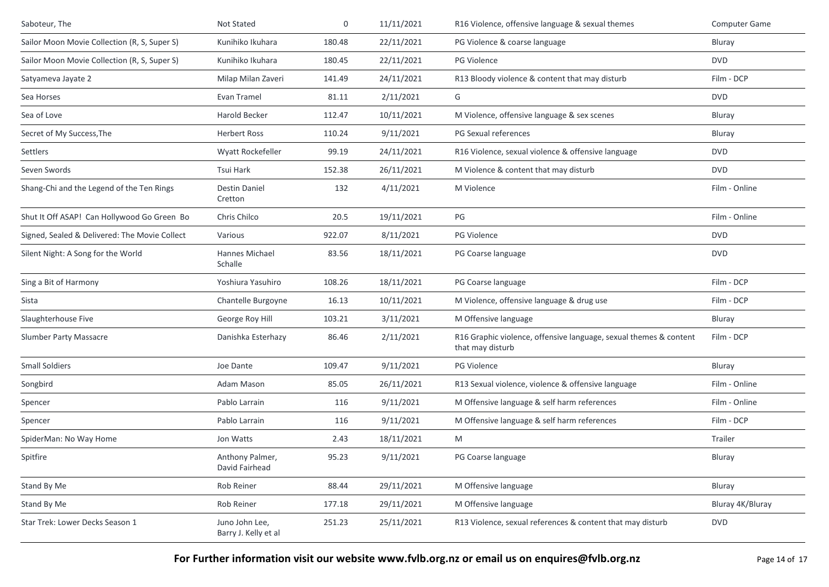| Saboteur, The                                 | Not Stated                             | 0      | 11/11/2021 | R16 Violence, offensive language & sexual themes                                      | <b>Computer Game</b> |
|-----------------------------------------------|----------------------------------------|--------|------------|---------------------------------------------------------------------------------------|----------------------|
| Sailor Moon Movie Collection (R, S, Super S)  | Kunihiko Ikuhara                       | 180.48 | 22/11/2021 | PG Violence & coarse language                                                         | Bluray               |
| Sailor Moon Movie Collection (R, S, Super S)  | Kunihiko Ikuhara                       | 180.45 | 22/11/2021 | <b>PG Violence</b>                                                                    | <b>DVD</b>           |
| Satyameva Jayate 2                            | Milap Milan Zaveri                     | 141.49 | 24/11/2021 | R13 Bloody violence & content that may disturb                                        | Film - DCP           |
| Sea Horses                                    | Evan Tramel                            | 81.11  | 2/11/2021  | G                                                                                     | <b>DVD</b>           |
| Sea of Love                                   | Harold Becker                          | 112.47 | 10/11/2021 | M Violence, offensive language & sex scenes                                           | Bluray               |
| Secret of My Success, The                     | <b>Herbert Ross</b>                    | 110.24 | 9/11/2021  | PG Sexual references                                                                  | Bluray               |
| Settlers                                      | Wyatt Rockefeller                      | 99.19  | 24/11/2021 | R16 Violence, sexual violence & offensive language                                    | <b>DVD</b>           |
| Seven Swords                                  | Tsui Hark                              | 152.38 | 26/11/2021 | M Violence & content that may disturb                                                 | <b>DVD</b>           |
| Shang-Chi and the Legend of the Ten Rings     | <b>Destin Daniel</b><br>Cretton        | 132    | 4/11/2021  | M Violence                                                                            | Film - Online        |
| Shut It Off ASAP! Can Hollywood Go Green Bo   | Chris Chilco                           | 20.5   | 19/11/2021 | PG                                                                                    | Film - Online        |
| Signed, Sealed & Delivered: The Movie Collect | Various                                | 922.07 | 8/11/2021  | <b>PG Violence</b>                                                                    | <b>DVD</b>           |
| Silent Night: A Song for the World            | Hannes Michael<br>Schalle              | 83.56  | 18/11/2021 | PG Coarse language                                                                    | <b>DVD</b>           |
| Sing a Bit of Harmony                         | Yoshiura Yasuhiro                      | 108.26 | 18/11/2021 | PG Coarse language                                                                    | Film - DCP           |
| Sista                                         | Chantelle Burgoyne                     | 16.13  | 10/11/2021 | M Violence, offensive language & drug use                                             | Film - DCP           |
| Slaughterhouse Five                           | George Roy Hill                        | 103.21 | 3/11/2021  | M Offensive language                                                                  | Bluray               |
| <b>Slumber Party Massacre</b>                 | Danishka Esterhazy                     | 86.46  | 2/11/2021  | R16 Graphic violence, offensive language, sexual themes & content<br>that may disturb | Film - DCP           |
| <b>Small Soldiers</b>                         | Joe Dante                              | 109.47 | 9/11/2021  | PG Violence                                                                           | Bluray               |
| Songbird                                      | Adam Mason                             | 85.05  | 26/11/2021 | R13 Sexual violence, violence & offensive language                                    | Film - Online        |
| Spencer                                       | Pablo Larrain                          | 116    | 9/11/2021  | M Offensive language & self harm references                                           | Film - Online        |
| Spencer                                       | Pablo Larrain                          | 116    | 9/11/2021  | M Offensive language & self harm references                                           | Film - DCP           |
| SpiderMan: No Way Home                        | Jon Watts                              | 2.43   | 18/11/2021 | M                                                                                     | Trailer              |
| Spitfire                                      | Anthony Palmer,<br>David Fairhead      | 95.23  | 9/11/2021  | PG Coarse language                                                                    | Bluray               |
| Stand By Me                                   | Rob Reiner                             | 88.44  | 29/11/2021 | M Offensive language                                                                  | Bluray               |
| Stand By Me                                   | Rob Reiner                             | 177.18 | 29/11/2021 | M Offensive language                                                                  | Bluray 4K/Bluray     |
| Star Trek: Lower Decks Season 1               | Juno John Lee,<br>Barry J. Kelly et al | 251.23 | 25/11/2021 | R13 Violence, sexual references & content that may disturb                            | <b>DVD</b>           |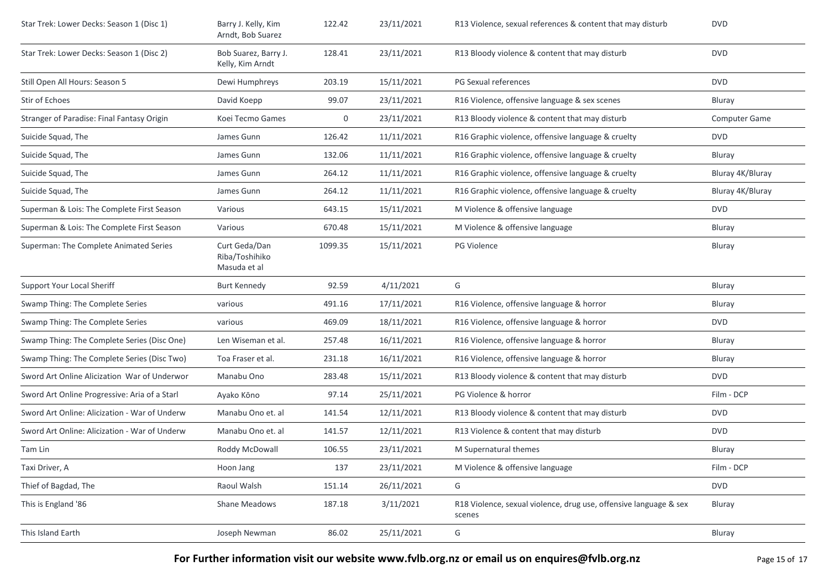| Star Trek: Lower Decks: Season 1 (Disc 1)     | Barry J. Kelly, Kim<br>Arndt, Bob Suarez        | 122.42  | 23/11/2021 | R13 Violence, sexual references & content that may disturb                  | <b>DVD</b>           |
|-----------------------------------------------|-------------------------------------------------|---------|------------|-----------------------------------------------------------------------------|----------------------|
| Star Trek: Lower Decks: Season 1 (Disc 2)     | Bob Suarez, Barry J.<br>Kelly, Kim Arndt        | 128.41  | 23/11/2021 | R13 Bloody violence & content that may disturb                              | <b>DVD</b>           |
| Still Open All Hours: Season 5                | Dewi Humphreys                                  | 203.19  | 15/11/2021 | PG Sexual references                                                        | <b>DVD</b>           |
| Stir of Echoes                                | David Koepp                                     | 99.07   | 23/11/2021 | R16 Violence, offensive language & sex scenes                               | Bluray               |
| Stranger of Paradise: Final Fantasy Origin    | Koei Tecmo Games                                | 0       | 23/11/2021 | R13 Bloody violence & content that may disturb                              | <b>Computer Game</b> |
| Suicide Squad, The                            | James Gunn                                      | 126.42  | 11/11/2021 | R16 Graphic violence, offensive language & cruelty                          | <b>DVD</b>           |
| Suicide Squad, The                            | James Gunn                                      | 132.06  | 11/11/2021 | R16 Graphic violence, offensive language & cruelty                          | Bluray               |
| Suicide Squad, The                            | James Gunn                                      | 264.12  | 11/11/2021 | R16 Graphic violence, offensive language & cruelty                          | Bluray 4K/Bluray     |
| Suicide Squad, The                            | James Gunn                                      | 264.12  | 11/11/2021 | R16 Graphic violence, offensive language & cruelty                          | Bluray 4K/Bluray     |
| Superman & Lois: The Complete First Season    | Various                                         | 643.15  | 15/11/2021 | M Violence & offensive language                                             | <b>DVD</b>           |
| Superman & Lois: The Complete First Season    | Various                                         | 670.48  | 15/11/2021 | M Violence & offensive language                                             | Bluray               |
| Superman: The Complete Animated Series        | Curt Geda/Dan<br>Riba/Toshihiko<br>Masuda et al | 1099.35 | 15/11/2021 | PG Violence                                                                 | Bluray               |
| Support Your Local Sheriff                    | <b>Burt Kennedy</b>                             | 92.59   | 4/11/2021  | G                                                                           | Bluray               |
| Swamp Thing: The Complete Series              | various                                         | 491.16  | 17/11/2021 | R16 Violence, offensive language & horror                                   | Bluray               |
| Swamp Thing: The Complete Series              | various                                         | 469.09  | 18/11/2021 | R16 Violence, offensive language & horror                                   | <b>DVD</b>           |
| Swamp Thing: The Complete Series (Disc One)   | Len Wiseman et al.                              | 257.48  | 16/11/2021 | R16 Violence, offensive language & horror                                   | Bluray               |
| Swamp Thing: The Complete Series (Disc Two)   | Toa Fraser et al.                               | 231.18  | 16/11/2021 | R16 Violence, offensive language & horror                                   | Bluray               |
| Sword Art Online Alicization War of Underwor  | Manabu Ono                                      | 283.48  | 15/11/2021 | R13 Bloody violence & content that may disturb                              | <b>DVD</b>           |
| Sword Art Online Progressive: Aria of a Starl | Ayako Kōno                                      | 97.14   | 25/11/2021 | PG Violence & horror                                                        | Film - DCP           |
| Sword Art Online: Alicization - War of Underw | Manabu Ono et. al                               | 141.54  | 12/11/2021 | R13 Bloody violence & content that may disturb                              | <b>DVD</b>           |
| Sword Art Online: Alicization - War of Underw | Manabu Ono et. al                               | 141.57  | 12/11/2021 | R13 Violence & content that may disturb                                     | <b>DVD</b>           |
| Tam Lin                                       | Roddy McDowall                                  | 106.55  | 23/11/2021 | M Supernatural themes                                                       | Bluray               |
| Taxi Driver, A                                | Hoon Jang                                       | 137     | 23/11/2021 | M Violence & offensive language                                             | Film - DCP           |
| Thief of Bagdad, The                          | Raoul Walsh                                     | 151.14  | 26/11/2021 | G                                                                           | <b>DVD</b>           |
| This is England '86                           | Shane Meadows                                   | 187.18  | 3/11/2021  | R18 Violence, sexual violence, drug use, offensive language & sex<br>scenes | Bluray               |
| This Island Earth                             | Joseph Newman                                   | 86.02   | 25/11/2021 | G                                                                           | Bluray               |
|                                               |                                                 |         |            |                                                                             |                      |

For Further information visit our website www.fvlb.org.nz or email us on enquires@fvlb.org.nz<br>Page 15 of 17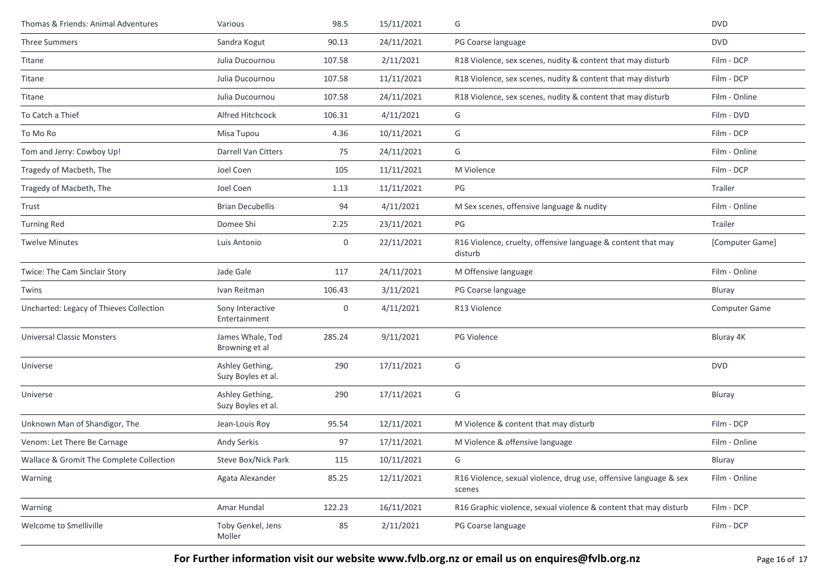| Thomas & Friends: Animal Adventures      | Various                               | 98.5   | 15/11/2021 | G                                                                           | <b>DVD</b>      |
|------------------------------------------|---------------------------------------|--------|------------|-----------------------------------------------------------------------------|-----------------|
| <b>Three Summers</b>                     | Sandra Kogut                          | 90.13  | 24/11/2021 | PG Coarse language                                                          | <b>DVD</b>      |
| Titane                                   | Julia Ducournou                       | 107.58 | 2/11/2021  | R18 Violence, sex scenes, nudity & content that may disturb                 | Film - DCP      |
| Titane                                   | Julia Ducournou                       | 107.58 | 11/11/2021 | R18 Violence, sex scenes, nudity & content that may disturb                 | Film - DCP      |
| Titane                                   | Julia Ducournou                       | 107.58 | 24/11/2021 | R18 Violence, sex scenes, nudity & content that may disturb                 | Film - Online   |
| To Catch a Thief                         | Alfred Hitchcock                      | 106.31 | 4/11/2021  | G                                                                           | Film - DVD      |
| To Mo Ro                                 | Misa Tupou                            | 4.36   | 10/11/2021 | G                                                                           | Film - DCP      |
| Tom and Jerry: Cowboy Up!                | Darrell Van Citters                   | 75     | 24/11/2021 | G                                                                           | Film - Online   |
| Tragedy of Macbeth, The                  | Joel Coen                             | 105    | 11/11/2021 | M Violence                                                                  | Film - DCP      |
| Tragedy of Macbeth, The                  | Joel Coen                             | 1.13   | 11/11/2021 | PG                                                                          | Trailer         |
| Trust                                    | <b>Brian Decubellis</b>               | 94     | 4/11/2021  | M Sex scenes, offensive language & nudity                                   | Film - Online   |
| <b>Turning Red</b>                       | Domee Shi                             | 2.25   | 23/11/2021 | PG                                                                          | Trailer         |
| <b>Twelve Minutes</b>                    | Luis Antonio                          | 0      | 22/11/2021 | R16 Violence, cruelty, offensive language & content that may<br>disturb     | [Computer Game] |
| Twice: The Cam Sinclair Story            | Jade Gale                             | 117    | 24/11/2021 | M Offensive language                                                        | Film - Online   |
| Twins                                    | Ivan Reitman                          | 106.43 | 3/11/2021  | PG Coarse language                                                          | Bluray          |
| Uncharted: Legacy of Thieves Collection  | Sony Interactive<br>Entertainment     | 0      | 4/11/2021  | R13 Violence                                                                | Computer Game   |
| <b>Universal Classic Monsters</b>        | James Whale, Tod<br>Browning et al    | 285.24 | 9/11/2021  | PG Violence                                                                 | Bluray 4K       |
| Universe                                 | Ashley Gething,<br>Suzy Boyles et al. | 290    | 17/11/2021 | G                                                                           | <b>DVD</b>      |
| Universe                                 | Ashley Gething,<br>Suzy Boyles et al. | 290    | 17/11/2021 | G                                                                           | Bluray          |
| Unknown Man of Shandigor, The            | Jean-Louis Roy                        | 95.54  | 12/11/2021 | M Violence & content that may disturb                                       | Film - DCP      |
| Venom: Let There Be Carnage              | Andy Serkis                           | 97     | 17/11/2021 | M Violence & offensive language                                             | Film - Online   |
| Wallace & Gromit The Complete Collection | Steve Box/Nick Park                   | 115    | 10/11/2021 | G                                                                           | Bluray          |
| Warning                                  | Agata Alexander                       | 85.25  | 12/11/2021 | R16 Violence, sexual violence, drug use, offensive language & sex<br>scenes | Film - Online   |
| Warning                                  | Amar Hundal                           | 122.23 | 16/11/2021 | R16 Graphic violence, sexual violence & content that may disturb            | Film - DCP      |
| Welcome to Smelliville                   | Toby Genkel, Jens<br>Moller           | 85     | 2/11/2021  | PG Coarse language                                                          | Film - DCP      |